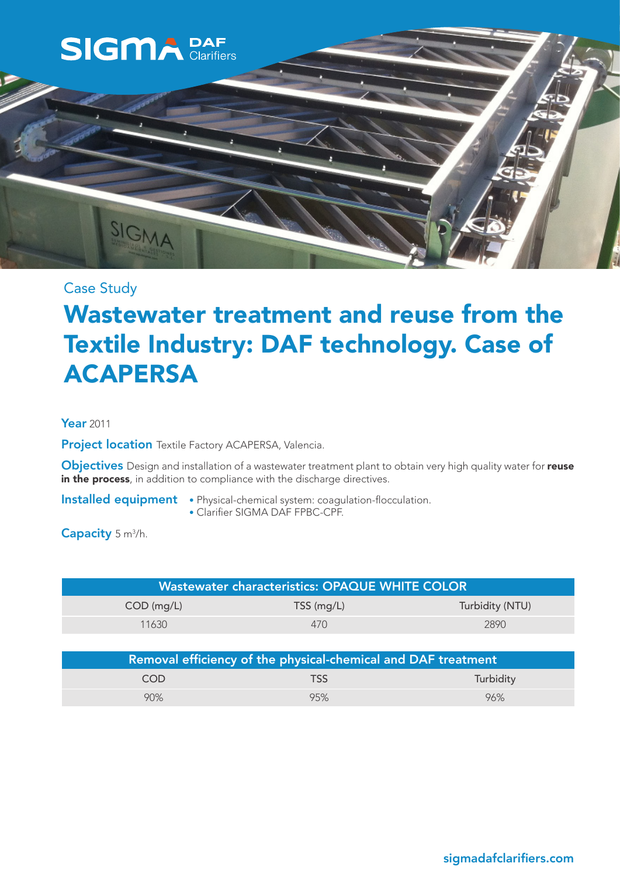

# Case Study

# Wastewater treatment and reuse from the Textile Industry: DAF technology. Case of ACAPERSA

#### Year 2011

Project location Textile Factory ACAPERSA, Valencia.

Objectives Design and installation of a wastewater treatment plant to obtain very high quality water for reuse in the process, in addition to compliance with the discharge directives.

- Installed equipment Physical-chemical system: coagulation-flocculation.
	- Clarifier SIGMA DAF FPBC-CPF.

Capacity 5 m<sup>3</sup>/h.

| <b>Wastewater characteristics: OPAQUE WHITE COLOR</b> |              |                 |  |
|-------------------------------------------------------|--------------|-----------------|--|
| $COD$ (mg/L)                                          | $TSS$ (mg/L) | Turbidity (NTU) |  |
| 11630                                                 | 470          | 2890            |  |

| Removal efficiency of the physical-chemical and DAF treatment |            |           |  |
|---------------------------------------------------------------|------------|-----------|--|
| COD                                                           | <b>TSS</b> | Turbidity |  |
| 90%                                                           | 95%        | 96%       |  |